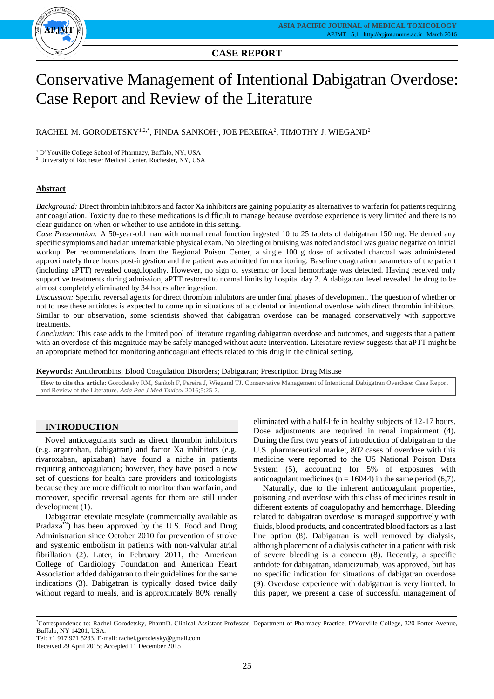## **CASE REPORT**

# Conservative Management of Intentional Dabigatran Overdose: Case Report and Review of the Literature

RACHEL M. GORODETSKY $^{1,2,*},$  FINDA SANKOH $^{1},$  JOE PEREIRA $^{2},$  TIMOTHY J. WIEGAND $^{2}$ 

<sup>1</sup> D'Youville College School of Pharmacy, Buffalo, NY, USA

<sup>2</sup> University of Rochester Medical Center, Rochester, NY, USA

## **Abstract**

*Background:* Direct thrombin inhibitors and factor Xa inhibitors are gaining popularity as alternatives to warfarin for patients requiring anticoagulation. Toxicity due to these medications is difficult to manage because overdose experience is very limited and there is no clear guidance on when or whether to use antidote in this setting.

*Case Presentation:* A 50-year-old man with normal renal function ingested 10 to 25 tablets of dabigatran 150 mg. He denied any specific symptoms and had an unremarkable physical exam. No bleeding or bruising was noted and stool was guaiac negative on initial workup. Per recommendations from the Regional Poison Center, a single 100 g dose of activated charcoal was administered approximately three hours post-ingestion and the patient was admitted for monitoring. Baseline coagulation parameters of the patient (including aPTT) revealed coagulopathy. However, no sign of systemic or local hemorrhage was detected. Having received only supportive treatments during admission, aPTT restored to normal limits by hospital day 2. A dabigatran level revealed the drug to be almost completely eliminated by 34 hours after ingestion.

*Discussion:* Specific reversal agents for direct thrombin inhibitors are under final phases of development. The question of whether or not to use these antidotes is expected to come up in situations of accidental or intentional overdose with direct thrombin inhibitors. Similar to our observation, some scientists showed that dabigatran overdose can be managed conservatively with supportive treatments.

*Conclusion:* This case adds to the limited pool of literature regarding dabigatran overdose and outcomes, and suggests that a patient with an overdose of this magnitude may be safely managed without acute intervention. Literature review suggests that aPTT might be an appropriate method for monitoring anticoagulant effects related to this drug in the clinical setting.

**Keywords:** Antithrombins; Blood Coagulation Disorders; Dabigatran; Prescription Drug Misuse

**How to cite this article:** Gorodetsky RM, Sankoh F, Pereira J, Wiegand TJ. Conservative Management of Intentional Dabigatran Overdose: Case Report and Review of the Literature. *Asia Pac J Med Toxicol* 2016;5:25-7.

## **INTRODUCTION**

Novel anticoagulants such as direct thrombin inhibitors (e.g. argatroban, dabigatran) and factor Xa inhibitors (e.g. rivaroxaban, apixaban) have found a niche in patients requiring anticoagulation; however, they have posed a new set of questions for health care providers and toxicologists because they are more difficult to monitor than warfarin, and moreover, specific reversal agents for them are still under development (1).

Dabigatran etexilate mesylate (commercially available as Pradaxa<sup>™</sup>) has been approved by the U.S. Food and Drug Administration since October 2010 for prevention of stroke and systemic embolism in patients with non-valvular atrial fibrillation (2). Later, in February 2011, the American College of Cardiology Foundation and American Heart Association added dabigatran to their guidelines for the same indications (3). Dabigatran is typically dosed twice daily without regard to meals, and is approximately 80% renally

eliminated with a half-life in healthy subjects of 12-17 hours. Dose adjustments are required in renal impairment (4). During the first two years of introduction of dabigatran to the U.S. pharmaceutical market, 802 cases of overdose with this medicine were reported to the US National Poison Data System (5), accounting for 5% of exposures with anticoagulant medicines ( $n = 16044$ ) in the same period (6,7).

Naturally, due to the inherent anticoagulant properties, poisoning and overdose with this class of medicines result in different extents of coagulopathy and hemorrhage. Bleeding related to dabigatran overdose is managed supportively with fluids, blood products, and concentrated blood factors as a last line option (8). Dabigatran is well removed by dialysis, although placement of a dialysis catheter in a patient with risk of severe bleeding is a concern (8). Recently, a specific antidote for dabigatran, idarucizumab, was approved, but has no specific indication for situations of dabigatran overdose (9). Overdose experience with dabigatran is very limited. In this paper, we present a case of successful management of

<sup>\*</sup>Correspondence to: Rachel Gorodetsky, PharmD. Clinical Assistant Professor, Department of Pharmacy Practice, D'Youville College, 320 Porter Avenue, Buffalo, NY 14201, USA.

Tel: +1 917 971 5233, E-mail: rachel.gorodetsky@gmail.com

Received 29 April 2015; Accepted 11 December 2015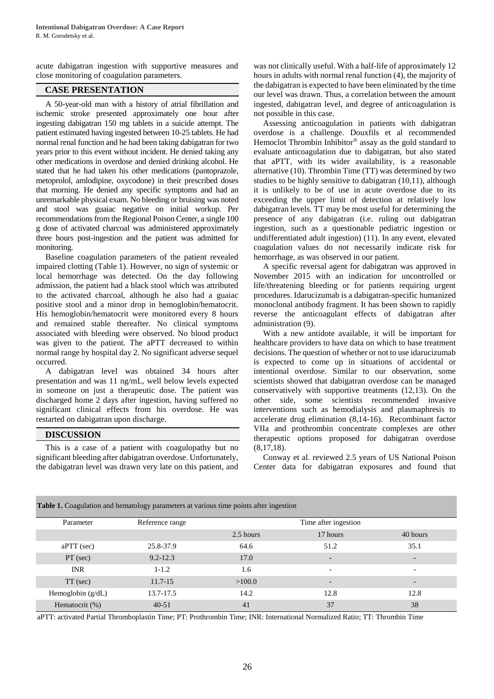acute dabigatran ingestion with supportive measures and close monitoring of coagulation parameters.

## **CASE PRESENTATION**

A 50-year-old man with a history of atrial fibrillation and ischemic stroke presented approximately one hour after ingesting dabigatran 150 mg tablets in a suicide attempt. The patient estimated having ingested between 10-25 tablets. He had normal renal function and he had been taking dabigatran for two years prior to this event without incident. He denied taking any other medications in overdose and denied drinking alcohol. He stated that he had taken his other medications (pantoprazole, metoprolol, amlodipine, oxycodone) in their prescribed doses that morning. He denied any specific symptoms and had an unremarkable physical exam. No bleeding or bruising was noted and stool was guaiac negative on initial workup. Per recommendations from the Regional Poison Center, a single 100 g dose of activated charcoal was administered approximately three hours post-ingestion and the patient was admitted for monitoring.

Baseline coagulation parameters of the patient revealed impaired clotting (Table 1). However, no sign of systemic or local hemorrhage was detected. On the day following admission, the patient had a black stool which was attributed to the activated charcoal, although he also had a guaiac positive stool and a minor drop in hemoglobin/hematocrit. His hemoglobin/hematocrit were monitored every 8 hours and remained stable thereafter. No clinical symptoms associated with bleeding were observed. No blood product was given to the patient. The aPTT decreased to within normal range by hospital day 2. No significant adverse sequel occurred.

A dabigatran level was obtained 34 hours after presentation and was 11 ng/mL, well below levels expected in someone on just a therapeutic dose. The patient was discharged home 2 days after ingestion, having suffered no significant clinical effects from his overdose. He was restarted on dabigatran upon discharge.

## **DISCUSSION**

This is a case of a patient with coagulopathy but no significant bleeding after dabigatran overdose. Unfortunately, the dabigatran level was drawn very late on this patient, and was not clinically useful. With a half-life of approximately 12 hours in adults with normal renal function (4), the majority of the dabigatran is expected to have been eliminated by the time our level was drawn. Thus, a correlation between the amount ingested, dabigatran level, and degree of anticoagulation is not possible in this case.

Assessing anticoagulation in patients with dabigatran overdose is a challenge. Douxfils et al recommended Hemoclot Thrombin Inhibitor® assay as the gold standard to evaluate anticoagulation due to dabigatran, but also stated that aPTT, with its wider availability, is a reasonable alternative (10). Thrombin Time (TT) was determined by two studies to be highly sensitive to dabigatran (10,11), although it is unlikely to be of use in acute overdose due to its exceeding the upper limit of detection at relatively low dabigatran levels. TT may be most useful for determining the presence of any dabigatran (i.e. ruling out dabigatran ingestion, such as a questionable pediatric ingestion or undifferentiated adult ingestion) (11). In any event, elevated coagulation values do not necessarily indicate risk for hemorrhage, as was observed in our patient.

A specific reversal agent for dabigatran was approved in November 2015 with an indication for uncontrolled or life/threatening bleeding or for patients requiring urgent procedures. Idarucizumab is a dabigatran-specific humanized monoclonal antibody fragment. It has been shown to rapidly reverse the anticoagulant effects of dabigatran after administration (9).

With a new antidote available, it will be important for healthcare providers to have data on which to base treatment decisions. The question of whether or not to use idarucizumab is expected to come up in situations of accidental or intentional overdose. Similar to our observation, some scientists showed that dabigatran overdose can be managed conservatively with supportive treatments (12,13). On the other side, some scientists recommended invasive interventions such as hemodialysis and plasmaphresis to accelerate drug elimination (8,14-16). Recombinant factor VIIa and prothrombin concentrate complexes are other therapeutic options proposed for dabigatran overdose (8,17,18).

Conway et al. reviewed 2.5 years of US National Poison Center data for dabigatran exposures and found that

| $\tilde{}$        | ິ້              | $\tilde{}$ |                          |                          |
|-------------------|-----------------|------------|--------------------------|--------------------------|
| Parameter         | Reference range |            | Time after ingestion     |                          |
|                   |                 | 2.5 hours  | 17 hours                 | 40 hours                 |
| $aPTT$ (sec)      | 25.8-37.9       | 64.6       | 51.2                     | 35.1                     |
| $PT$ (sec)        | $9.2 - 12.3$    | 17.0       | $\overline{\phantom{a}}$ | $\overline{\phantom{0}}$ |
| <b>INR</b>        | $1 - 1.2$       | 1.6        | $\overline{\phantom{a}}$ | $\overline{\phantom{0}}$ |
| $TT$ (sec)        | $11.7 - 15$     | >100.0     | $\overline{\phantom{a}}$ | $\overline{\phantom{0}}$ |
| Hemoglobin (g/dL) | 13.7-17.5       | 14.2       | 12.8                     | 12.8                     |
| Hematocrit (%)    | $40 - 51$       | 41         | 37                       | 38                       |

**Table 1.** Coagulation and hematology parameters at various time points after ingestion

aPTT: activated Partial Thromboplastin Time; PT: Prothrombin Time; INR: International Normalized Ratio; TT: Thrombin Time